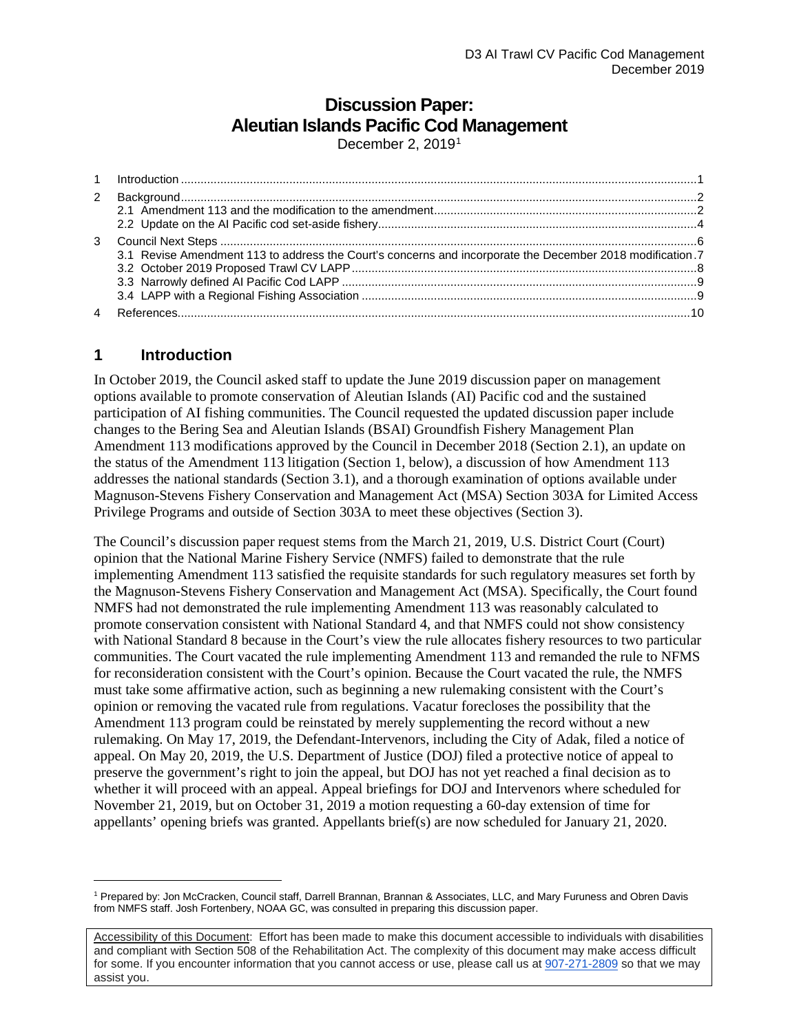# **Discussion Paper: Aleutian Islands Pacific Cod Management**

December 2, 20[1](#page-0-1)9<sup>1</sup>

| 3 |                                                                                                           |  |
|---|-----------------------------------------------------------------------------------------------------------|--|
|   | 3.1 Revise Amendment 113 to address the Court's concerns and incorporate the December 2018 modification.7 |  |
|   |                                                                                                           |  |
|   |                                                                                                           |  |
|   |                                                                                                           |  |

# <span id="page-0-0"></span>**1 Introduction**

In October 2019, the Council asked staff to update the June 2019 discussion paper on management options available to promote conservation of Aleutian Islands (AI) Pacific cod and the sustained participation of AI fishing communities. The Council requested the updated discussion paper include changes to the Bering Sea and Aleutian Islands (BSAI) Groundfish Fishery Management Plan Amendment 113 modifications approved by the Council in December 2018 (Section 2.1), an update on the status of the Amendment 113 litigation (Section 1, below), a discussion of how Amendment 113 addresses the national standards (Section 3.1), and a thorough examination of options available under Magnuson-Stevens Fishery Conservation and Management Act (MSA) Section 303A for Limited Access Privilege Programs and outside of Section 303A to meet these objectives (Section 3).

The Council's discussion paper request stems from the March 21, 2019, U.S. District Court (Court) opinion that the National Marine Fishery Service (NMFS) failed to demonstrate that the rule implementing Amendment 113 satisfied the requisite standards for such regulatory measures set forth by the Magnuson-Stevens Fishery Conservation and Management Act (MSA). Specifically, the Court found NMFS had not demonstrated the rule implementing Amendment 113 was reasonably calculated to promote conservation consistent with National Standard 4, and that NMFS could not show consistency with National Standard 8 because in the Court's view the rule allocates fishery resources to two particular communities. The Court vacated the rule implementing Amendment 113 and remanded the rule to NFMS for reconsideration consistent with the Court's opinion. Because the Court vacated the rule, the NMFS must take some affirmative action, such as beginning a new rulemaking consistent with the Court's opinion or removing the vacated rule from regulations. Vacatur forecloses the possibility that the Amendment 113 program could be reinstated by merely supplementing the record without a new rulemaking. On May 17, 2019, the Defendant-Intervenors, including the City of Adak, filed a notice of appeal. On May 20, 2019, the U.S. Department of Justice (DOJ) filed a protective notice of appeal to preserve the government's right to join the appeal, but DOJ has not yet reached a final decision as to whether it will proceed with an appeal. Appeal briefings for DOJ and Intervenors where scheduled for November 21, 2019, but on October 31, 2019 a motion requesting a 60-day extension of time for appellants' opening briefs was granted. Appellants brief(s) are now scheduled for January 21, 2020.

<span id="page-0-1"></span><sup>1</sup> Prepared by: Jon McCracken, Council staff, Darrell Brannan, Brannan & Associates, LLC, and Mary Furuness and Obren Davis from NMFS staff. Josh Fortenbery, NOAA GC, was consulted in preparing this discussion paper.

Accessibility of this Document: Effort has been made to make this document accessible to individuals with disabilities and compliant with Section 508 of the Rehabilitation Act. The complexity of this document may make access difficult for some. If you encounter information that you cannot access or use, please call us a[t 907-271-2809](tel:%28907%29%20586-7228) so that we may assist you.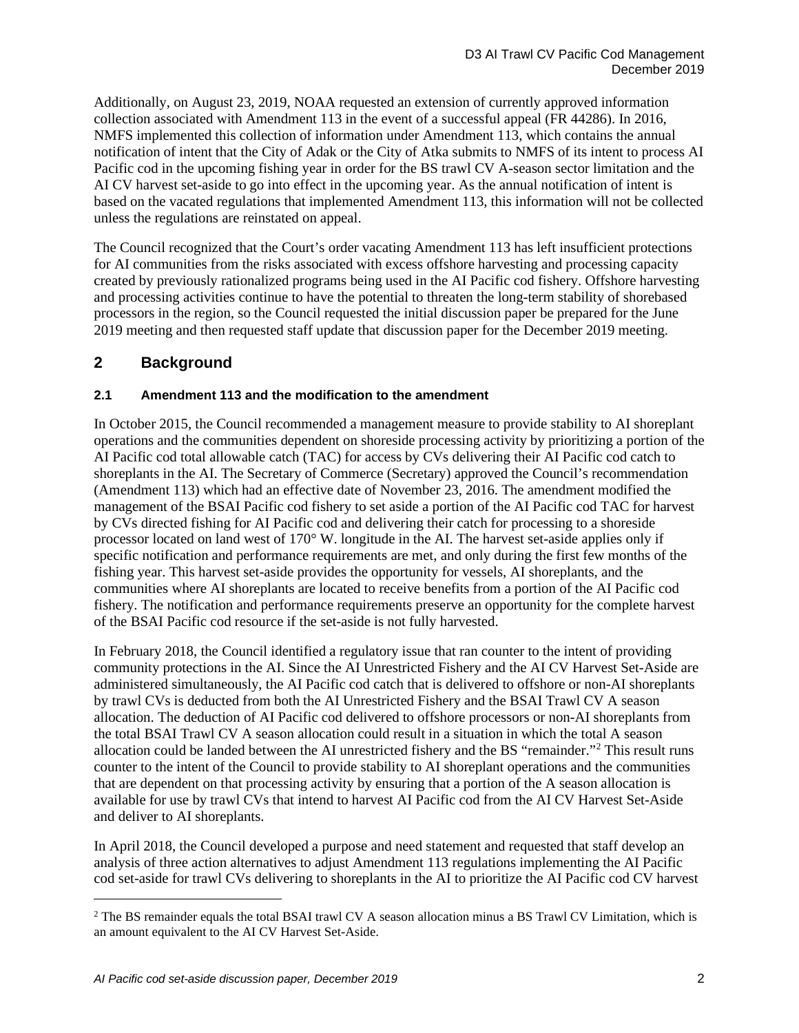Additionally, on August 23, 2019, NOAA requested an extension of currently approved information collection associated with Amendment 113 in the event of a successful appeal (FR 44286). In 2016, NMFS implemented this collection of information under Amendment 113, which contains the annual notification of intent that the City of Adak or the City of Atka submits to NMFS of its intent to process AI Pacific cod in the upcoming fishing year in order for the BS trawl CV A-season sector limitation and the AI CV harvest set-aside to go into effect in the upcoming year. As the annual notification of intent is based on the vacated regulations that implemented Amendment 113, this information will not be collected unless the regulations are reinstated on appeal.

The Council recognized that the Court's order vacating Amendment 113 has left insufficient protections for AI communities from the risks associated with excess offshore harvesting and processing capacity created by previously rationalized programs being used in the AI Pacific cod fishery. Offshore harvesting and processing activities continue to have the potential to threaten the long-term stability of shorebased processors in the region, so the Council requested the initial discussion paper be prepared for the June 2019 meeting and then requested staff update that discussion paper for the December 2019 meeting.

# <span id="page-1-0"></span>**2 Background**

## <span id="page-1-1"></span>**2.1 Amendment 113 and the modification to the amendment**

In October 2015, the Council recommended a management measure to provide stability to AI shoreplant operations and the communities dependent on shoreside processing activity by prioritizing a portion of the AI Pacific cod total allowable catch (TAC) for access by CVs delivering their AI Pacific cod catch to shoreplants in the AI. The Secretary of Commerce (Secretary) approved the Council's recommendation (Amendment 113) which had an effective date of November 23, 2016. The amendment modified the management of the BSAI Pacific cod fishery to set aside a portion of the AI Pacific cod TAC for harvest by CVs directed fishing for AI Pacific cod and delivering their catch for processing to a shoreside processor located on land west of 170° W. longitude in the AI. The harvest set-aside applies only if specific notification and performance requirements are met, and only during the first few months of the fishing year. This harvest set-aside provides the opportunity for vessels, AI shoreplants, and the communities where AI shoreplants are located to receive benefits from a portion of the AI Pacific cod fishery. The notification and performance requirements preserve an opportunity for the complete harvest of the BSAI Pacific cod resource if the set-aside is not fully harvested.

In February 2018, the Council identified a regulatory issue that ran counter to the intent of providing community protections in the AI. Since the AI Unrestricted Fishery and the AI CV Harvest Set-Aside are administered simultaneously, the AI Pacific cod catch that is delivered to offshore or non-AI shoreplants by trawl CVs is deducted from both the AI Unrestricted Fishery and the BSAI Trawl CV A season allocation. The deduction of AI Pacific cod delivered to offshore processors or non-AI shoreplants from the total BSAI Trawl CV A season allocation could result in a situation in which the total A season allocation could be landed between the AI unrestricted fishery and the BS "remainder."[2](#page-1-2) This result runs counter to the intent of the Council to provide stability to AI shoreplant operations and the communities that are dependent on that processing activity by ensuring that a portion of the A season allocation is available for use by trawl CVs that intend to harvest AI Pacific cod from the AI CV Harvest Set-Aside and deliver to AI shoreplants.

In April 2018, the Council developed a purpose and need statement and requested that staff develop an analysis of three action alternatives to adjust Amendment 113 regulations implementing the AI Pacific cod set-aside for trawl CVs delivering to shoreplants in the AI to prioritize the AI Pacific cod CV harvest

<span id="page-1-2"></span><sup>&</sup>lt;sup>2</sup> The BS remainder equals the total BSAI trawl CV A season allocation minus a BS Trawl CV Limitation, which is an amount equivalent to the AI CV Harvest Set-Aside.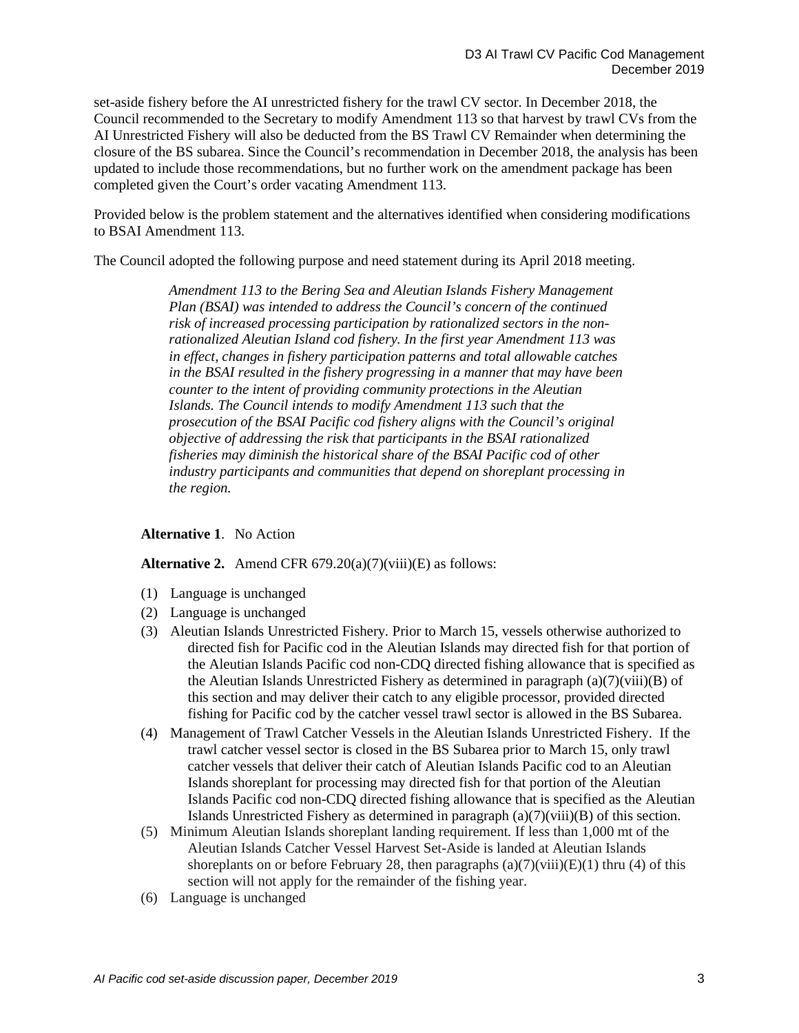set-aside fishery before the AI unrestricted fishery for the trawl CV sector. In December 2018, the Council recommended to the Secretary to modify Amendment 113 so that harvest by trawl CVs from the AI Unrestricted Fishery will also be deducted from the BS Trawl CV Remainder when determining the closure of the BS subarea. Since the Council's recommendation in December 2018, the analysis has been updated to include those recommendations, but no further work on the amendment package has been completed given the Court's order vacating Amendment 113.

Provided below is the problem statement and the alternatives identified when considering modifications to BSAI Amendment 113.

The Council adopted the following purpose and need statement during its April 2018 meeting.

*Amendment 113 to the Bering Sea and Aleutian Islands Fishery Management Plan (BSAI) was intended to address the Council's concern of the continued risk of increased processing participation by rationalized sectors in the nonrationalized Aleutian Island cod fishery. In the first year Amendment 113 was in effect, changes in fishery participation patterns and total allowable catches in the BSAI resulted in the fishery progressing in a manner that may have been counter to the intent of providing community protections in the Aleutian Islands. The Council intends to modify Amendment 113 such that the prosecution of the BSAI Pacific cod fishery aligns with the Council's original objective of addressing the risk that participants in the BSAI rationalized fisheries may diminish the historical share of the BSAI Pacific cod of other industry participants and communities that depend on shoreplant processing in the region.* 

#### **Alternative 1**. No Action

**Alternative 2.** Amend CFR  $679.20(a)(7)(viii)(E)$  as follows:

- (1) Language is unchanged
- (2) Language is unchanged
- (3) Aleutian Islands Unrestricted Fishery*.* Prior to March 15, vessels otherwise authorized to directed fish for Pacific cod in the Aleutian Islands may directed fish for that portion of the Aleutian Islands Pacific cod non-CDQ directed fishing allowance that is specified as the Aleutian Islands Unrestricted Fishery as determined in paragraph  $(a)(7)(viii)(B)$  of this section and may deliver their catch to any eligible processor, provided directed fishing for Pacific cod by the catcher vessel trawl sector is allowed in the BS Subarea.
- (4) Management of Trawl Catcher Vessels in the Aleutian Islands Unrestricted Fishery. If the trawl catcher vessel sector is closed in the BS Subarea prior to March 15, only trawl catcher vessels that deliver their catch of Aleutian Islands Pacific cod to an Aleutian Islands shoreplant for processing may directed fish for that portion of the Aleutian Islands Pacific cod non-CDQ directed fishing allowance that is specified as the Aleutian Islands Unrestricted Fishery as determined in paragraph  $(a)(7)(viii)(B)$  of this section.
- (5) Minimum Aleutian Islands shoreplant landing requirement*.* If less than 1,000 mt of the Aleutian Islands Catcher Vessel Harvest Set-Aside is landed at Aleutian Islands shoreplants on or before February 28, then paragraphs  $(a)(7)(viii)(E)(1)$  thru (4) of this section will not apply for the remainder of the fishing year.
- (6) Language is unchanged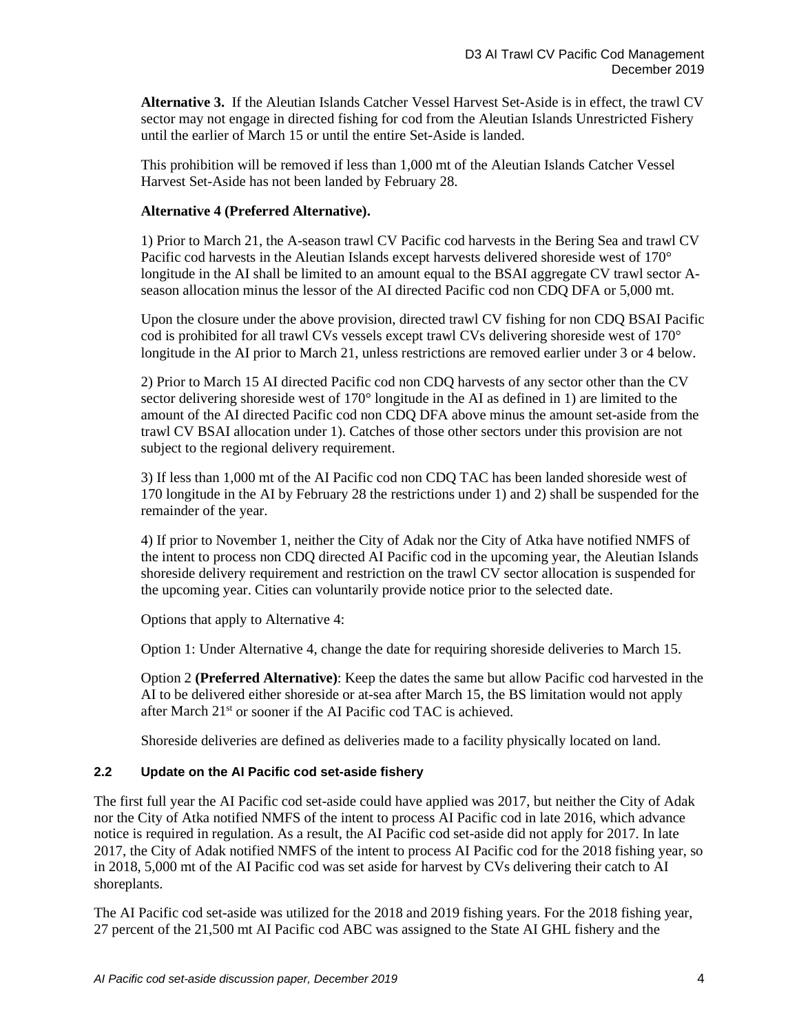**Alternative 3.** If the Aleutian Islands Catcher Vessel Harvest Set-Aside is in effect, the trawl CV sector may not engage in directed fishing for cod from the Aleutian Islands Unrestricted Fishery until the earlier of March 15 or until the entire Set-Aside is landed.

This prohibition will be removed if less than 1,000 mt of the Aleutian Islands Catcher Vessel Harvest Set-Aside has not been landed by February 28.

### **Alternative 4 (Preferred Alternative).**

1) Prior to March 21, the A-season trawl CV Pacific cod harvests in the Bering Sea and trawl CV Pacific cod harvests in the Aleutian Islands except harvests delivered shoreside west of 170° longitude in the AI shall be limited to an amount equal to the BSAI aggregate CV trawl sector Aseason allocation minus the lessor of the AI directed Pacific cod non CDQ DFA or 5,000 mt.

Upon the closure under the above provision, directed trawl CV fishing for non CDQ BSAI Pacific cod is prohibited for all trawl CVs vessels except trawl CVs delivering shoreside west of 170° longitude in the AI prior to March 21, unless restrictions are removed earlier under 3 or 4 below.

2) Prior to March 15 AI directed Pacific cod non CDQ harvests of any sector other than the CV sector delivering shoreside west of  $170^{\circ}$  longitude in the AI as defined in 1) are limited to the amount of the AI directed Pacific cod non CDQ DFA above minus the amount set-aside from the trawl CV BSAI allocation under 1). Catches of those other sectors under this provision are not subject to the regional delivery requirement.

3) If less than 1,000 mt of the AI Pacific cod non CDQ TAC has been landed shoreside west of 170 longitude in the AI by February 28 the restrictions under 1) and 2) shall be suspended for the remainder of the year.

4) If prior to November 1, neither the City of Adak nor the City of Atka have notified NMFS of the intent to process non CDQ directed AI Pacific cod in the upcoming year, the Aleutian Islands shoreside delivery requirement and restriction on the trawl CV sector allocation is suspended for the upcoming year. Cities can voluntarily provide notice prior to the selected date.

Options that apply to Alternative 4:

Option 1: Under Alternative 4, change the date for requiring shoreside deliveries to March 15.

Option 2 **(Preferred Alternative)**: Keep the dates the same but allow Pacific cod harvested in the AI to be delivered either shoreside or at-sea after March 15, the BS limitation would not apply after March 21st or sooner if the AI Pacific cod TAC is achieved.

Shoreside deliveries are defined as deliveries made to a facility physically located on land.

#### <span id="page-3-0"></span>**2.2 Update on the AI Pacific cod set-aside fishery**

The first full year the AI Pacific cod set-aside could have applied was 2017, but neither the City of Adak nor the City of Atka notified NMFS of the intent to process AI Pacific cod in late 2016, which advance notice is required in regulation. As a result, the AI Pacific cod set-aside did not apply for 2017. In late 2017, the City of Adak notified NMFS of the intent to process AI Pacific cod for the 2018 fishing year, so in 2018, 5,000 mt of the AI Pacific cod was set aside for harvest by CVs delivering their catch to AI shoreplants.

The AI Pacific cod set-aside was utilized for the 2018 and 2019 fishing years. For the 2018 fishing year, 27 percent of the 21,500 mt AI Pacific cod ABC was assigned to the State AI GHL fishery and the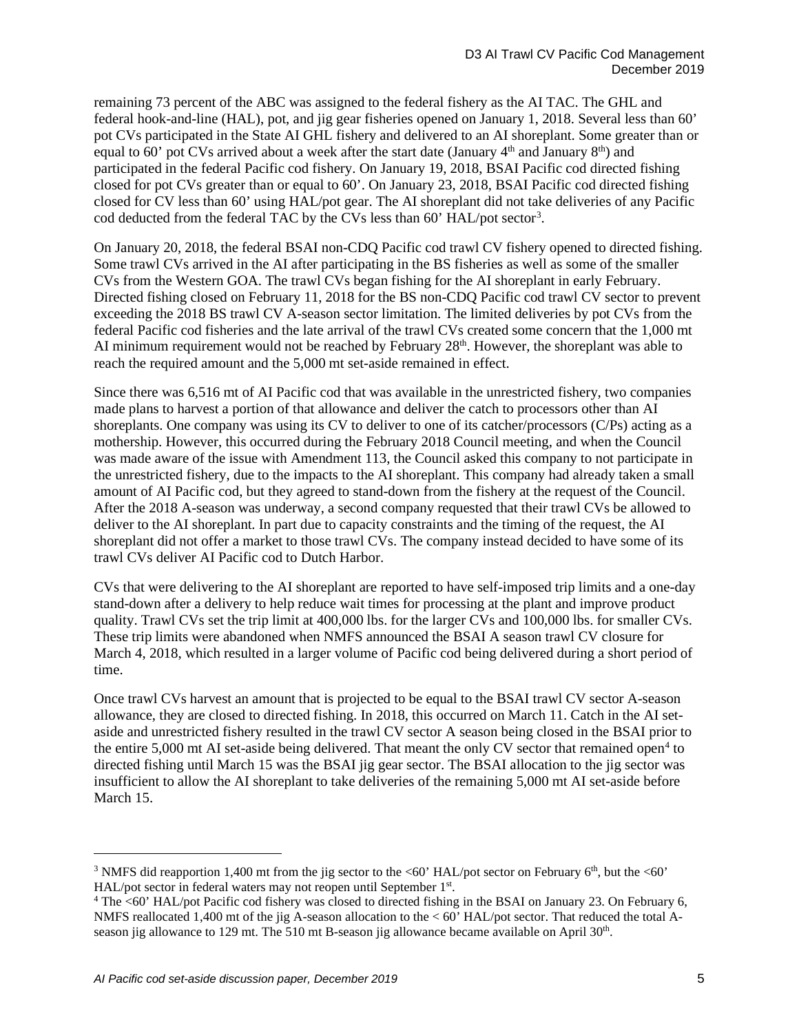remaining 73 percent of the ABC was assigned to the federal fishery as the AI TAC. The GHL and federal hook-and-line (HAL), pot, and jig gear fisheries opened on January 1, 2018. Several less than 60' pot CVs participated in the State AI GHL fishery and delivered to an AI shoreplant. Some greater than or equal to  $60'$  pot CVs arrived about a week after the start date (January  $4<sup>th</sup>$  and January  $8<sup>th</sup>$ ) and participated in the federal Pacific cod fishery. On January 19, 2018, BSAI Pacific cod directed fishing closed for pot CVs greater than or equal to 60'. On January 23, 2018, BSAI Pacific cod directed fishing closed for CV less than 60' using HAL/pot gear. The AI shoreplant did not take deliveries of any Pacific cod deducted from the federal TAC by the CVs less than 60' HAL/pot sector<sup>[3](#page-4-0)</sup>.

On January 20, 2018, the federal BSAI non-CDQ Pacific cod trawl CV fishery opened to directed fishing. Some trawl CVs arrived in the AI after participating in the BS fisheries as well as some of the smaller CVs from the Western GOA. The trawl CVs began fishing for the AI shoreplant in early February. Directed fishing closed on February 11, 2018 for the BS non-CDQ Pacific cod trawl CV sector to prevent exceeding the 2018 BS trawl CV A-season sector limitation. The limited deliveries by pot CVs from the federal Pacific cod fisheries and the late arrival of the trawl CVs created some concern that the 1,000 mt AI minimum requirement would not be reached by February  $28<sup>th</sup>$ . However, the shoreplant was able to reach the required amount and the 5,000 mt set-aside remained in effect.

Since there was 6,516 mt of AI Pacific cod that was available in the unrestricted fishery, two companies made plans to harvest a portion of that allowance and deliver the catch to processors other than AI shoreplants. One company was using its CV to deliver to one of its catcher/processors (C/Ps) acting as a mothership. However, this occurred during the February 2018 Council meeting, and when the Council was made aware of the issue with Amendment 113, the Council asked this company to not participate in the unrestricted fishery, due to the impacts to the AI shoreplant. This company had already taken a small amount of AI Pacific cod, but they agreed to stand-down from the fishery at the request of the Council. After the 2018 A-season was underway, a second company requested that their trawl CVs be allowed to deliver to the AI shoreplant. In part due to capacity constraints and the timing of the request, the AI shoreplant did not offer a market to those trawl CVs. The company instead decided to have some of its trawl CVs deliver AI Pacific cod to Dutch Harbor.

CVs that were delivering to the AI shoreplant are reported to have self-imposed trip limits and a one-day stand-down after a delivery to help reduce wait times for processing at the plant and improve product quality. Trawl CVs set the trip limit at 400,000 lbs. for the larger CVs and 100,000 lbs. for smaller CVs. These trip limits were abandoned when NMFS announced the BSAI A season trawl CV closure for March 4, 2018, which resulted in a larger volume of Pacific cod being delivered during a short period of time.

Once trawl CVs harvest an amount that is projected to be equal to the BSAI trawl CV sector A-season allowance, they are closed to directed fishing. In 2018, this occurred on March 11. Catch in the AI setaside and unrestricted fishery resulted in the trawl CV sector A season being closed in the BSAI prior to the entire 5,000 mt AI set-aside being delivered. That meant the only CV sector that remained open<sup>[4](#page-4-1)</sup> to directed fishing until March 15 was the BSAI jig gear sector. The BSAI allocation to the jig sector was insufficient to allow the AI shoreplant to take deliveries of the remaining 5,000 mt AI set-aside before March 15.

<span id="page-4-0"></span><sup>&</sup>lt;sup>3</sup> NMFS did reapportion 1,400 mt from the jig sector to the <60' HAL/pot sector on February  $6<sup>th</sup>$ , but the <60' HAL/pot sector in federal waters may not reopen until September 1st.<br><sup>4</sup> The <60' HAL/pot Pacific cod fishery was closed to directed fishing in the BSAI on January 23. On February 6,

<span id="page-4-1"></span>NMFS reallocated 1,400 mt of the jig A-season allocation to the < 60' HAL/pot sector. That reduced the total Aseason jig allowance to 129 mt. The 510 mt B-season jig allowance became available on April 30<sup>th</sup>.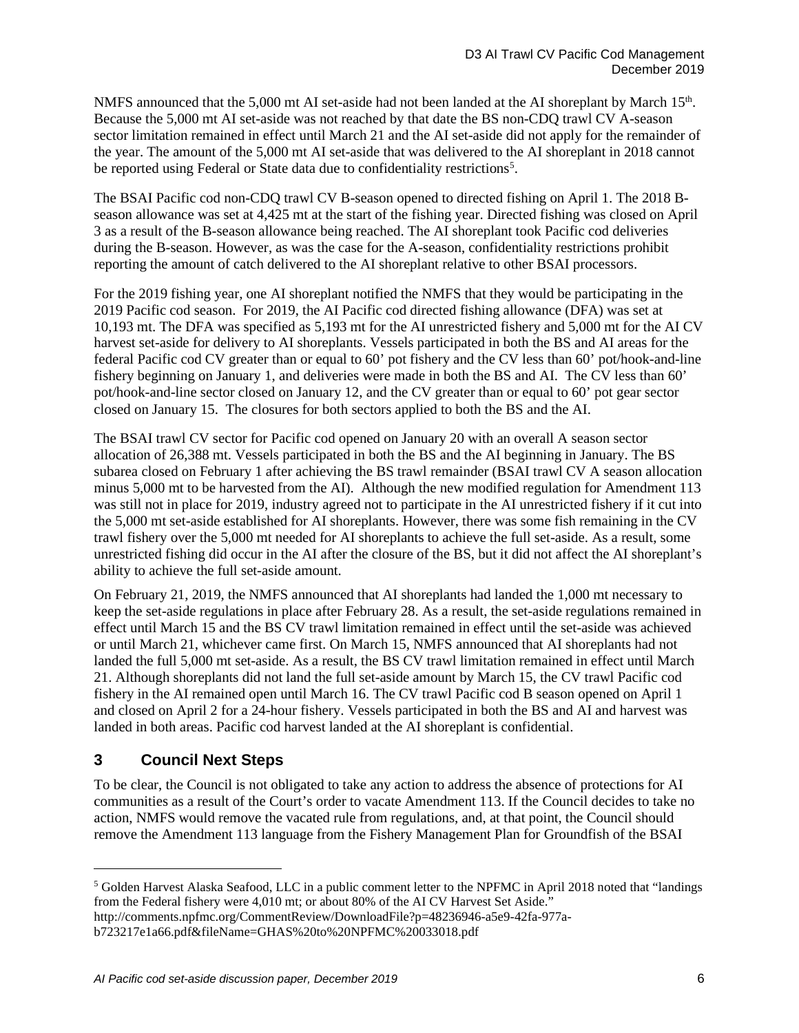NMFS announced that the 5,000 mt AI set-aside had not been landed at the AI shoreplant by March 15<sup>th</sup>. Because the 5,000 mt AI set-aside was not reached by that date the BS non-CDQ trawl CV A-season sector limitation remained in effect until March 21 and the AI set-aside did not apply for the remainder of the year. The amount of the 5,000 mt AI set-aside that was delivered to the AI shoreplant in 2018 cannot be reported using Federal or State data due to confidentiality restrictions<sup>[5](#page-5-1)</sup>.

The BSAI Pacific cod non-CDQ trawl CV B-season opened to directed fishing on April 1. The 2018 Bseason allowance was set at 4,425 mt at the start of the fishing year. Directed fishing was closed on April 3 as a result of the B-season allowance being reached. The AI shoreplant took Pacific cod deliveries during the B-season. However, as was the case for the A-season, confidentiality restrictions prohibit reporting the amount of catch delivered to the AI shoreplant relative to other BSAI processors.

For the 2019 fishing year, one AI shoreplant notified the NMFS that they would be participating in the 2019 Pacific cod season. For 2019, the AI Pacific cod directed fishing allowance (DFA) was set at 10,193 mt. The DFA was specified as 5,193 mt for the AI unrestricted fishery and 5,000 mt for the AI CV harvest set-aside for delivery to AI shoreplants. Vessels participated in both the BS and AI areas for the federal Pacific cod CV greater than or equal to 60' pot fishery and the CV less than 60' pot/hook-and-line fishery beginning on January 1, and deliveries were made in both the BS and AI. The CV less than 60' pot/hook-and-line sector closed on January 12, and the CV greater than or equal to 60' pot gear sector closed on January 15. The closures for both sectors applied to both the BS and the AI.

The BSAI trawl CV sector for Pacific cod opened on January 20 with an overall A season sector allocation of 26,388 mt. Vessels participated in both the BS and the AI beginning in January. The BS subarea closed on February 1 after achieving the BS trawl remainder (BSAI trawl CV A season allocation minus 5,000 mt to be harvested from the AI). Although the new modified regulation for Amendment 113 was still not in place for 2019, industry agreed not to participate in the AI unrestricted fishery if it cut into the 5,000 mt set-aside established for AI shoreplants. However, there was some fish remaining in the CV trawl fishery over the 5,000 mt needed for AI shoreplants to achieve the full set-aside. As a result, some unrestricted fishing did occur in the AI after the closure of the BS, but it did not affect the AI shoreplant's ability to achieve the full set-aside amount.

On February 21, 2019, the NMFS announced that AI shoreplants had landed the 1,000 mt necessary to keep the set-aside regulations in place after February 28. As a result, the set-aside regulations remained in effect until March 15 and the BS CV trawl limitation remained in effect until the set-aside was achieved or until March 21, whichever came first. On March 15, NMFS announced that AI shoreplants had not landed the full 5,000 mt set-aside. As a result, the BS CV trawl limitation remained in effect until March 21. Although shoreplants did not land the full set-aside amount by March 15, the CV trawl Pacific cod fishery in the AI remained open until March 16. The CV trawl Pacific cod B season opened on April 1 and closed on April 2 for a 24-hour fishery. Vessels participated in both the BS and AI and harvest was landed in both areas. Pacific cod harvest landed at the AI shoreplant is confidential.

# <span id="page-5-0"></span>**3 Council Next Steps**

To be clear, the Council is not obligated to take any action to address the absence of protections for AI communities as a result of the Court's order to vacate Amendment 113. If the Council decides to take no action, NMFS would remove the vacated rule from regulations, and, at that point, the Council should remove the Amendment 113 language from the Fishery Management Plan for Groundfish of the BSAI

<span id="page-5-1"></span><sup>5</sup> Golden Harvest Alaska Seafood, LLC in a public comment letter to the NPFMC in April 2018 noted that "landings from the Federal fishery were 4,010 mt; or about 80% of the AI CV Harvest Set Aside." http://comments.npfmc.org/CommentReview/DownloadFile?p=48236946-a5e9-42fa-977a-

b723217e1a66.pdf&fileName=GHAS%20to%20NPFMC%20033018.pdf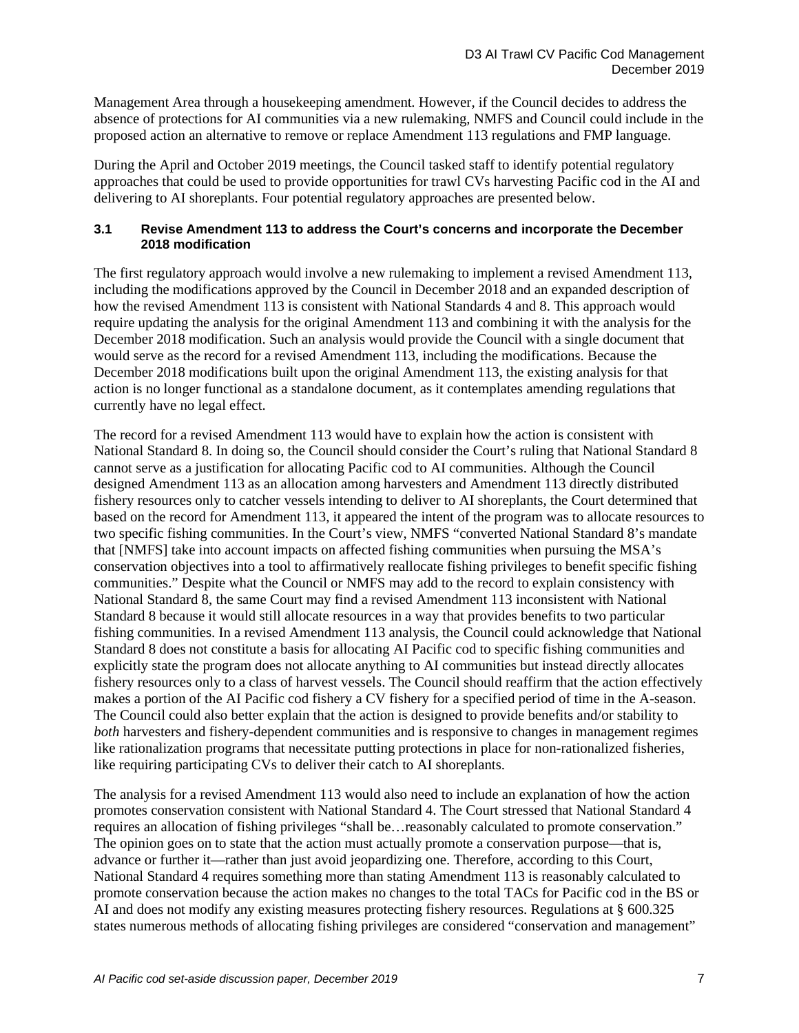Management Area through a housekeeping amendment. However, if the Council decides to address the absence of protections for AI communities via a new rulemaking, NMFS and Council could include in the proposed action an alternative to remove or replace Amendment 113 regulations and FMP language.

During the April and October 2019 meetings, the Council tasked staff to identify potential regulatory approaches that could be used to provide opportunities for trawl CVs harvesting Pacific cod in the AI and delivering to AI shoreplants. Four potential regulatory approaches are presented below.

### <span id="page-6-0"></span>**3.1 Revise Amendment 113 to address the Court's concerns and incorporate the December 2018 modification**

The first regulatory approach would involve a new rulemaking to implement a revised Amendment 113, including the modifications approved by the Council in December 2018 and an expanded description of how the revised Amendment 113 is consistent with National Standards 4 and 8. This approach would require updating the analysis for the original Amendment 113 and combining it with the analysis for the December 2018 modification. Such an analysis would provide the Council with a single document that would serve as the record for a revised Amendment 113, including the modifications. Because the December 2018 modifications built upon the original Amendment 113, the existing analysis for that action is no longer functional as a standalone document, as it contemplates amending regulations that currently have no legal effect.

The record for a revised Amendment 113 would have to explain how the action is consistent with National Standard 8. In doing so, the Council should consider the Court's ruling that National Standard 8 cannot serve as a justification for allocating Pacific cod to AI communities. Although the Council designed Amendment 113 as an allocation among harvesters and Amendment 113 directly distributed fishery resources only to catcher vessels intending to deliver to AI shoreplants, the Court determined that based on the record for Amendment 113, it appeared the intent of the program was to allocate resources to two specific fishing communities. In the Court's view, NMFS "converted National Standard 8's mandate that [NMFS] take into account impacts on affected fishing communities when pursuing the MSA's conservation objectives into a tool to affirmatively reallocate fishing privileges to benefit specific fishing communities." Despite what the Council or NMFS may add to the record to explain consistency with National Standard 8, the same Court may find a revised Amendment 113 inconsistent with National Standard 8 because it would still allocate resources in a way that provides benefits to two particular fishing communities. In a revised Amendment 113 analysis, the Council could acknowledge that National Standard 8 does not constitute a basis for allocating AI Pacific cod to specific fishing communities and explicitly state the program does not allocate anything to AI communities but instead directly allocates fishery resources only to a class of harvest vessels. The Council should reaffirm that the action effectively makes a portion of the AI Pacific cod fishery a CV fishery for a specified period of time in the A-season. The Council could also better explain that the action is designed to provide benefits and/or stability to *both* harvesters and fishery-dependent communities and is responsive to changes in management regimes like rationalization programs that necessitate putting protections in place for non-rationalized fisheries, like requiring participating CVs to deliver their catch to AI shoreplants.

The analysis for a revised Amendment 113 would also need to include an explanation of how the action promotes conservation consistent with National Standard 4. The Court stressed that National Standard 4 requires an allocation of fishing privileges "shall be…reasonably calculated to promote conservation." The opinion goes on to state that the action must actually promote a conservation purpose—that is, advance or further it—rather than just avoid jeopardizing one. Therefore, according to this Court, National Standard 4 requires something more than stating Amendment 113 is reasonably calculated to promote conservation because the action makes no changes to the total TACs for Pacific cod in the BS or AI and does not modify any existing measures protecting fishery resources. Regulations at § 600.325 states numerous methods of allocating fishing privileges are considered "conservation and management"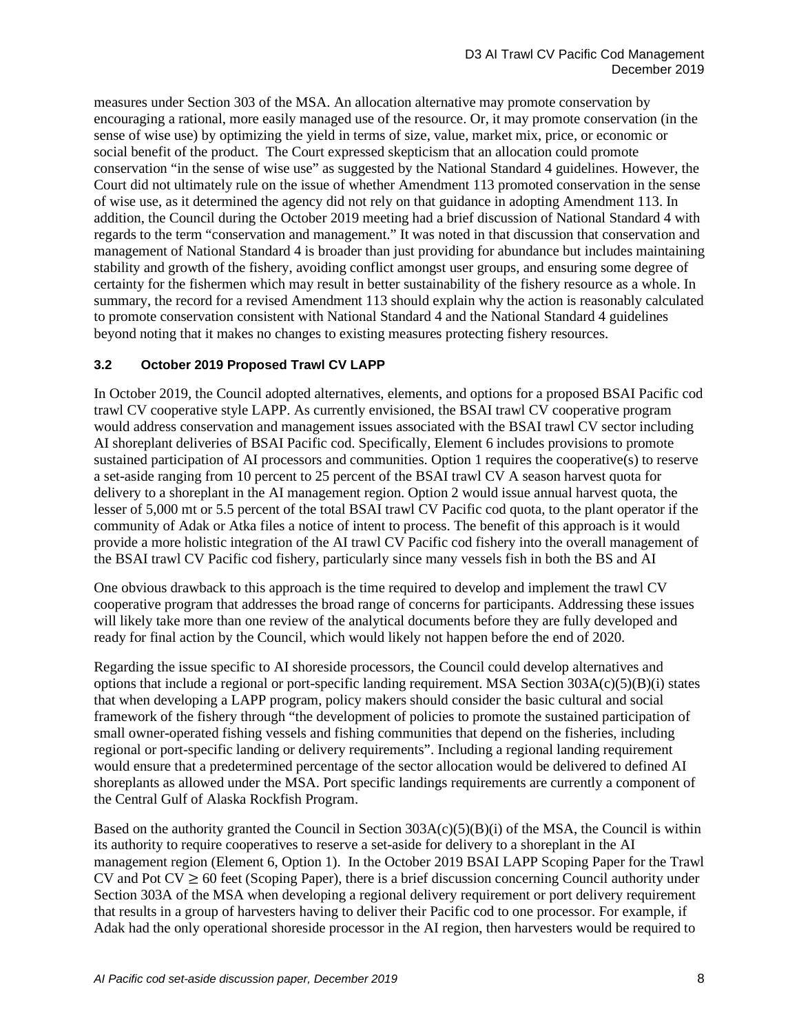measures under Section 303 of the MSA. An allocation alternative may promote conservation by encouraging a rational, more easily managed use of the resource. Or, it may promote conservation (in the sense of wise use) by optimizing the yield in terms of size, value, market mix, price, or economic or social benefit of the product. The Court expressed skepticism that an allocation could promote conservation "in the sense of wise use" as suggested by the National Standard 4 guidelines. However, the Court did not ultimately rule on the issue of whether Amendment 113 promoted conservation in the sense of wise use, as it determined the agency did not rely on that guidance in adopting Amendment 113. In addition, the Council during the October 2019 meeting had a brief discussion of National Standard 4 with regards to the term "conservation and management." It was noted in that discussion that conservation and management of National Standard 4 is broader than just providing for abundance but includes maintaining stability and growth of the fishery, avoiding conflict amongst user groups, and ensuring some degree of certainty for the fishermen which may result in better sustainability of the fishery resource as a whole. In summary, the record for a revised Amendment 113 should explain why the action is reasonably calculated to promote conservation consistent with National Standard 4 and the National Standard 4 guidelines beyond noting that it makes no changes to existing measures protecting fishery resources.

### <span id="page-7-0"></span>**3.2 October 2019 Proposed Trawl CV LAPP**

In October 2019, the Council adopted alternatives, elements, and options for a proposed BSAI Pacific cod trawl CV cooperative style LAPP. As currently envisioned, the BSAI trawl CV cooperative program would address conservation and management issues associated with the BSAI trawl CV sector including AI shoreplant deliveries of BSAI Pacific cod. Specifically, Element 6 includes provisions to promote sustained participation of AI processors and communities. Option 1 requires the cooperative(s) to reserve a set-aside ranging from 10 percent to 25 percent of the BSAI trawl CV A season harvest quota for delivery to a shoreplant in the AI management region. Option 2 would issue annual harvest quota, the lesser of 5,000 mt or 5.5 percent of the total BSAI trawl CV Pacific cod quota, to the plant operator if the community of Adak or Atka files a notice of intent to process. The benefit of this approach is it would provide a more holistic integration of the AI trawl CV Pacific cod fishery into the overall management of the BSAI trawl CV Pacific cod fishery, particularly since many vessels fish in both the BS and AI

One obvious drawback to this approach is the time required to develop and implement the trawl CV cooperative program that addresses the broad range of concerns for participants. Addressing these issues will likely take more than one review of the analytical documents before they are fully developed and ready for final action by the Council, which would likely not happen before the end of 2020.

Regarding the issue specific to AI shoreside processors, the Council could develop alternatives and options that include a regional or port-specific landing requirement. MSA Section  $303A(c)(5)(B)(i)$  states that when developing a LAPP program, policy makers should consider the basic cultural and social framework of the fishery through "the development of policies to promote the sustained participation of small owner-operated fishing vessels and fishing communities that depend on the fisheries, including regional or port-specific landing or delivery requirements". Including a regional landing requirement would ensure that a predetermined percentage of the sector allocation would be delivered to defined AI shoreplants as allowed under the MSA. Port specific landings requirements are currently a component of the Central Gulf of Alaska Rockfish Program.

Based on the authority granted the Council in Section  $303A(c)(5)(B)(i)$  of the MSA, the Council is within its authority to require cooperatives to reserve a set-aside for delivery to a shoreplant in the AI management region (Element 6, Option 1). In the October 2019 BSAI LAPP Scoping Paper for the Trawl CV and Pot  $CV \ge 60$  feet (Scoping Paper), there is a brief discussion concerning Council authority under Section 303A of the MSA when developing a regional delivery requirement or port delivery requirement that results in a group of harvesters having to deliver their Pacific cod to one processor. For example, if Adak had the only operational shoreside processor in the AI region, then harvesters would be required to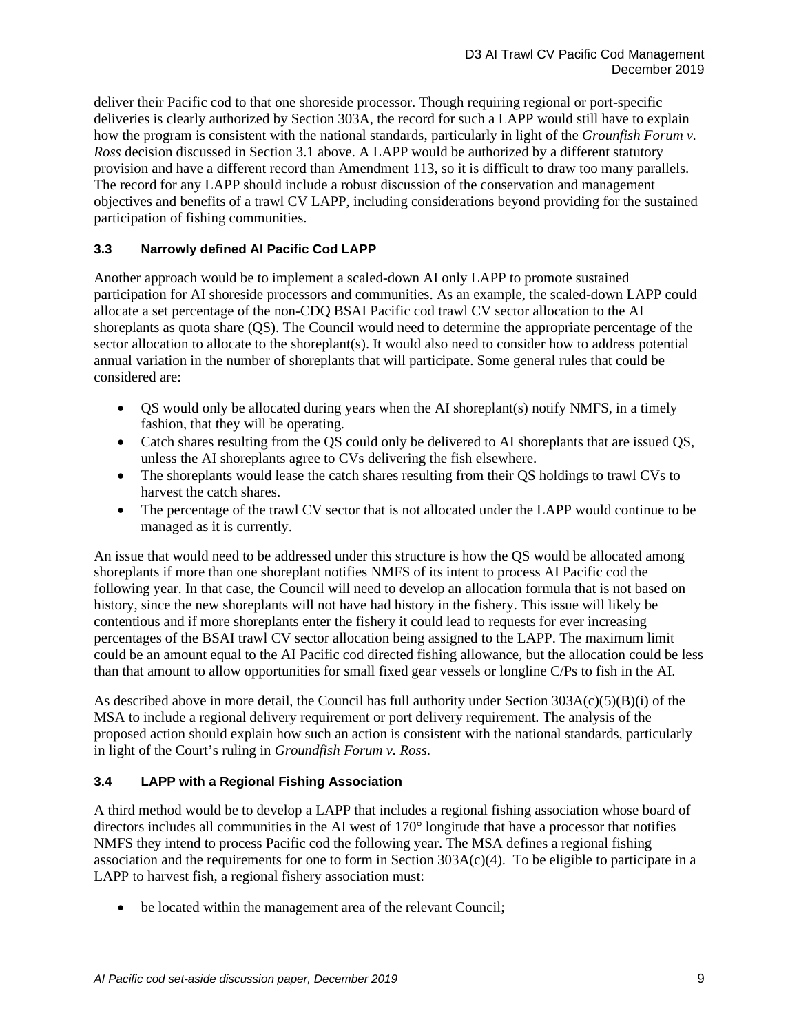deliver their Pacific cod to that one shoreside processor. Though requiring regional or port-specific deliveries is clearly authorized by Section 303A, the record for such a LAPP would still have to explain how the program is consistent with the national standards, particularly in light of the *Grounfish Forum v. Ross* decision discussed in Section 3.1 above. A LAPP would be authorized by a different statutory provision and have a different record than Amendment 113, so it is difficult to draw too many parallels. The record for any LAPP should include a robust discussion of the conservation and management objectives and benefits of a trawl CV LAPP, including considerations beyond providing for the sustained participation of fishing communities.

### <span id="page-8-0"></span>**3.3 Narrowly defined AI Pacific Cod LAPP**

Another approach would be to implement a scaled-down AI only LAPP to promote sustained participation for AI shoreside processors and communities. As an example, the scaled-down LAPP could allocate a set percentage of the non-CDQ BSAI Pacific cod trawl CV sector allocation to the AI shoreplants as quota share (QS). The Council would need to determine the appropriate percentage of the sector allocation to allocate to the shoreplant(s). It would also need to consider how to address potential annual variation in the number of shoreplants that will participate. Some general rules that could be considered are:

- QS would only be allocated during years when the AI shoreplant(s) notify NMFS, in a timely fashion, that they will be operating.
- Catch shares resulting from the QS could only be delivered to AI shoreplants that are issued QS, unless the AI shoreplants agree to CVs delivering the fish elsewhere.
- The shoreplants would lease the catch shares resulting from their OS holdings to trawl CVs to harvest the catch shares.
- The percentage of the trawl CV sector that is not allocated under the LAPP would continue to be managed as it is currently.

An issue that would need to be addressed under this structure is how the QS would be allocated among shoreplants if more than one shoreplant notifies NMFS of its intent to process AI Pacific cod the following year. In that case, the Council will need to develop an allocation formula that is not based on history, since the new shoreplants will not have had history in the fishery. This issue will likely be contentious and if more shoreplants enter the fishery it could lead to requests for ever increasing percentages of the BSAI trawl CV sector allocation being assigned to the LAPP. The maximum limit could be an amount equal to the AI Pacific cod directed fishing allowance, but the allocation could be less than that amount to allow opportunities for small fixed gear vessels or longline C/Ps to fish in the AI.

As described above in more detail, the Council has full authority under Section  $303A(c)(5)(B)(i)$  of the MSA to include a regional delivery requirement or port delivery requirement. The analysis of the proposed action should explain how such an action is consistent with the national standards, particularly in light of the Court's ruling in *Groundfish Forum v. Ross*.

### <span id="page-8-1"></span>**3.4 LAPP with a Regional Fishing Association**

A third method would be to develop a LAPP that includes a regional fishing association whose board of directors includes all communities in the AI west of 170° longitude that have a processor that notifies NMFS they intend to process Pacific cod the following year. The MSA defines a regional fishing association and the requirements for one to form in Section  $303A(c)(4)$ . To be eligible to participate in a LAPP to harvest fish, a regional fishery association must:

• be located within the management area of the relevant Council;